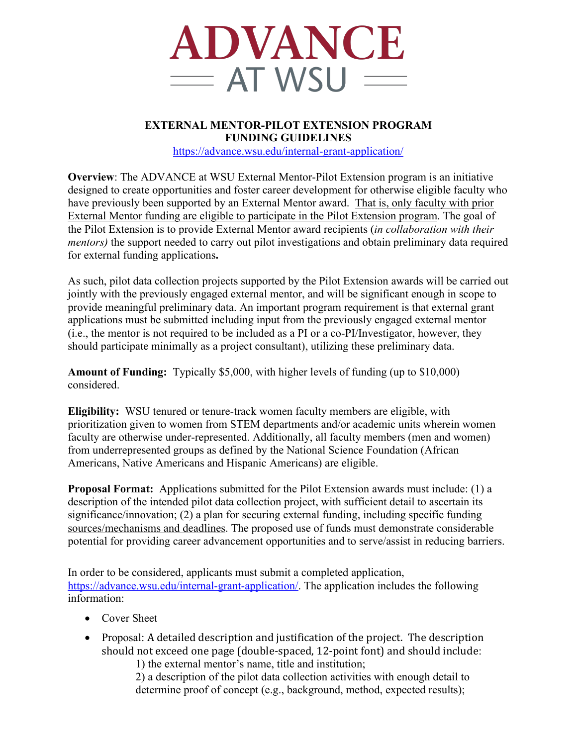

## **EXTERNAL MENTOR-PILOT EXTENSION PROGRAM FUNDING GUIDELINES** https://advance.wsu.edu/internal-grant-application/

**Overview**: The ADVANCE at WSU External Mentor-Pilot Extension program is an initiative designed to create opportunities and foster career development for otherwise eligible faculty who have previously been supported by an External Mentor award. That is, only faculty with prior External Mentor funding are eligible to participate in the Pilot Extension program. The goal of the Pilot Extension is to provide External Mentor award recipients (*in collaboration with their mentors*) the support needed to carry out pilot investigations and obtain preliminary data required for external funding applications**.**

As such, pilot data collection projects supported by the Pilot Extension awards will be carried out jointly with the previously engaged external mentor, and will be significant enough in scope to provide meaningful preliminary data. An important program requirement is that external grant applications must be submitted including input from the previously engaged external mentor (i.e., the mentor is not required to be included as a PI or a co-PI/Investigator, however, they should participate minimally as a project consultant), utilizing these preliminary data.

**Amount of Funding:** Typically \$5,000, with higher levels of funding (up to \$10,000) considered.

**Eligibility:** WSU tenured or tenure-track women faculty members are eligible, with prioritization given to women from STEM departments and/or academic units wherein women faculty are otherwise under-represented. Additionally, all faculty members (men and women) from underrepresented groups as defined by the National Science Foundation (African Americans, Native Americans and Hispanic Americans) are eligible.

**Proposal Format:** Applications submitted for the Pilot Extension awards must include: (1) a description of the intended pilot data collection project, with sufficient detail to ascertain its significance/innovation; (2) a plan for securing external funding, including specific funding sources/mechanisms and deadlines. The proposed use of funds must demonstrate considerable potential for providing career advancement opportunities and to serve/assist in reducing barriers.

In order to be considered, applicants must submit a completed application, https://advance.wsu.edu/internal-grant-application/. The application includes the following information:

- Cover Sheet
- Proposal: A detailed description and justification of the project. The description should not exceed one page (double-spaced, 12-point font) and should include: 1) the external mentor's name, title and institution;

2) a description of the pilot data collection activities with enough detail to determine proof of concept (e.g., background, method, expected results);